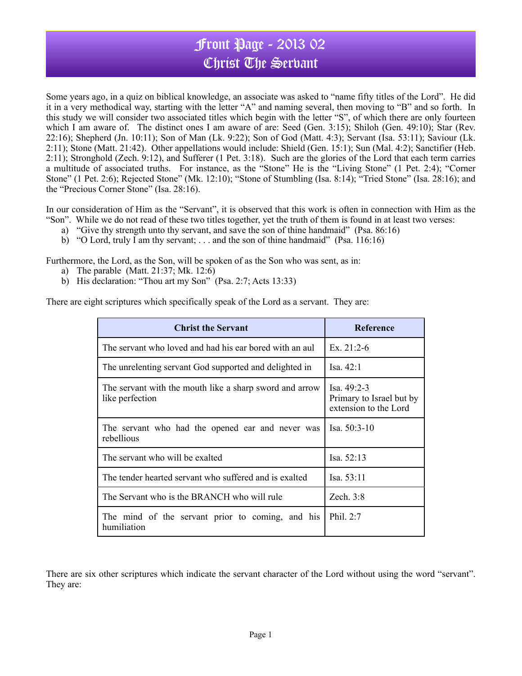## Front Page - 2013 02 Christ The Servant

Some years ago, in a quiz on biblical knowledge, an associate was asked to "name fifty titles of the Lord". He did it in a very methodical way, starting with the letter "A" and naming several, then moving to "B" and so forth. In this study we will consider two associated titles which begin with the letter "S", of which there are only fourteen which I am aware of. The distinct ones I am aware of are: Seed (Gen. 3:15); Shiloh (Gen. 49:10); Star (Rev. 22:16); Shepherd (Jn. 10:11); Son of Man (Lk. 9:22); Son of God (Matt. 4:3); Servant (Isa. 53:11); Saviour (Lk. 2:11); Stone (Matt. 21:42). Other appellations would include: Shield (Gen. 15:1); Sun (Mal. 4:2); Sanctifier (Heb. 2:11); Stronghold (Zech. 9:12), and Sufferer (1 Pet. 3:18). Such are the glories of the Lord that each term carries a multitude of associated truths. For instance, as the "Stone" He is the "Living Stone" (1 Pet. 2:4); "Corner Stone" (1 Pet. 2:6); Rejected Stone" (Mk. 12:10); "Stone of Stumbling (Isa. 8:14); "Tried Stone" (Isa. 28:16); and the "Precious Corner Stone" (Isa. 28:16).

In our consideration of Him as the "Servant", it is observed that this work is often in connection with Him as the "Son". While we do not read of these two titles together, yet the truth of them is found in at least two verses:

- a) "Give thy strength unto thy servant, and save the son of thine handmaid" (Psa. 86:16)
- b) "O Lord, truly I am thy servant; . . . and the son of thine handmaid" (Psa. 116:16)

Furthermore, the Lord, as the Son, will be spoken of as the Son who was sent, as in:

- a) The parable (Matt. 21:37; Mk. 12:6)
- b) His declaration: "Thou art my Son" (Psa. 2:7; Acts 13:33)

There are eight scriptures which specifically speak of the Lord as a servant. They are:

| <b>Christ the Servant</b>                                                  | <b>Reference</b>                                                   |
|----------------------------------------------------------------------------|--------------------------------------------------------------------|
| The servant who loved and had his ear bored with an aul                    | Ex. $21:2-6$                                                       |
| The unrelenting servant God supported and delighted in                     | Isa. 42:1                                                          |
| The servant with the mouth like a sharp sword and arrow<br>like perfection | Isa. $49:2-3$<br>Primary to Israel but by<br>extension to the Lord |
| The servant who had the opened ear and never was<br>rebellious             | Isa. $50:3-10$                                                     |
| The servant who will be exalted                                            | Isa. $52:13$                                                       |
| The tender hearted servant who suffered and is exalted                     | Isa. 53:11                                                         |
| The Servant who is the BRANCH who will rule                                | Zech. $3:8$                                                        |
| The mind of the servant prior to coming, and his<br>humiliation            | Phil. 2:7                                                          |

There are six other scriptures which indicate the servant character of the Lord without using the word "servant". They are: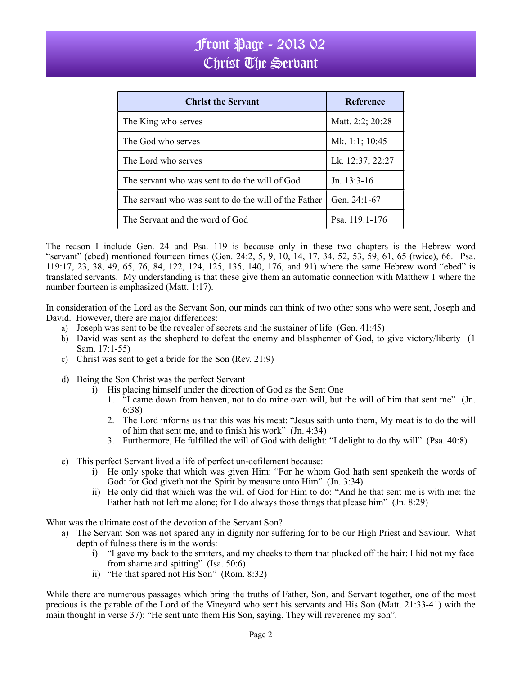## Front Page - 2013 02 Christ The Serbant

| <b>Christ the Servant</b>                             | <b>Reference</b> |
|-------------------------------------------------------|------------------|
| The King who serves                                   | Matt. 2:2; 20:28 |
| The God who serves                                    | Mk. 1:1; 10:45   |
| The Lord who serves                                   | Lk. 12:37; 22:27 |
| The servant who was sent to do the will of God        | Jn. $13:3-16$    |
| The servant who was sent to do the will of the Father | Gen. $24:1-67$   |
| The Servant and the word of God                       | Psa. 119:1-176   |

The reason I include Gen. 24 and Psa. 119 is because only in these two chapters is the Hebrew word "servant" (ebed) mentioned fourteen times (Gen. 24:2, 5, 9, 10, 14, 17, 34, 52, 53, 59, 61, 65 (twice), 66. Psa. 119:17, 23, 38, 49, 65, 76, 84, 122, 124, 125, 135, 140, 176, and 91) where the same Hebrew word "ebed" is translated servants. My understanding is that these give them an automatic connection with Matthew 1 where the number fourteen is emphasized (Matt. 1:17).

In consideration of the Lord as the Servant Son, our minds can think of two other sons who were sent, Joseph and David. However, there are major differences:

- a) Joseph was sent to be the revealer of secrets and the sustainer of life (Gen. 41:45)
- b) David was sent as the shepherd to defeat the enemy and blasphemer of God, to give victory/liberty (1 Sam. 17:1-55)
- c) Christ was sent to get a bride for the Son (Rev. 21:9)
- d) Being the Son Christ was the perfect Servant
	- i) His placing himself under the direction of God as the Sent One
		- 1. "I came down from heaven, not to do mine own will, but the will of him that sent me" (Jn. 6:38)
		- 2. The Lord informs us that this was his meat: "Jesus saith unto them, My meat is to do the will of him that sent me, and to finish his work" (Jn. 4:34)
		- 3. Furthermore, He fulfilled the will of God with delight: "I delight to do thy will" (Psa. 40:8)
- e) This perfect Servant lived a life of perfect un-defilement because:
	- i) He only spoke that which was given Him: "For he whom God hath sent speaketh the words of God: for God giveth not the Spirit by measure unto Him" (Jn. 3:34)
	- ii) He only did that which was the will of God for Him to do: "And he that sent me is with me: the Father hath not left me alone; for I do always those things that please him" (Jn. 8:29)
- What was the ultimate cost of the devotion of the Servant Son?
	- a) The Servant Son was not spared any in dignity nor suffering for to be our High Priest and Saviour. What depth of fulness there is in the words:
		- i) "I gave my back to the smiters, and my cheeks to them that plucked off the hair: I hid not my face from shame and spitting" (Isa. 50:6)
		- ii) "He that spared not His Son" (Rom. 8:32)

While there are numerous passages which bring the truths of Father, Son, and Servant together, one of the most precious is the parable of the Lord of the Vineyard who sent his servants and His Son (Matt. 21:33-41) with the main thought in verse 37): "He sent unto them His Son, saying, They will reverence my son".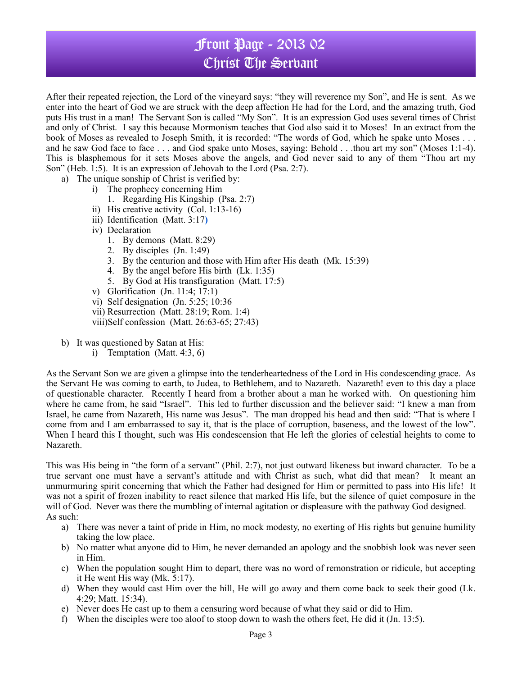## Front Page - 2013 02 Christ The Servant

After their repeated rejection, the Lord of the vineyard says: "they will reverence my Son", and He is sent. As we enter into the heart of God we are struck with the deep affection He had for the Lord, and the amazing truth, God puts His trust in a man! The Servant Son is called "My Son". It is an expression God uses several times of Christ and only of Christ. I say this because Mormonism teaches that God also said it to Moses! In an extract from the book of Moses as revealed to Joseph Smith, it is recorded: "The words of God, which he spake unto Moses . . . and he saw God face to face . . . and God spake unto Moses, saying: Behold . . .thou art my son" (Moses 1:1-4). This is blasphemous for it sets Moses above the angels, and God never said to any of them "Thou art my Son" (Heb. 1:5). It is an expression of Jehovah to the Lord (Psa. 2:7).

- a) The unique sonship of Christ is verified by:
	- i) The prophecy concerning Him
		- 1. Regarding His Kingship (Psa. 2:7)
	- ii) His creative activity (Col. 1:13-16)
	- iii) Identification (Matt. 3:17**)**
	- iv) Declaration
		- 1. By demons (Matt. 8:29)
		- 2. By disciples (Jn. 1:49)
		- 3. By the centurion and those with Him after His death (Mk. 15:39)
		- 4. By the angel before His birth (Lk. 1:35)
		- 5. By God at His transfiguration (Matt. 17:5)
	- v) Glorification (Jn. 11:4; 17:1)
	- vi) Self designation (Jn. 5:25; 10:36
	- vii) Resurrection (Matt. 28:19; Rom. 1:4)
	- viii)Self confession (Matt. 26:63-65; 27:43)
- b) It was questioned by Satan at His:
	- i) Temptation (Matt. 4:3, 6)

As the Servant Son we are given a glimpse into the tenderheartedness of the Lord in His condescending grace. As the Servant He was coming to earth, to Judea, to Bethlehem, and to Nazareth. Nazareth! even to this day a place of questionable character. Recently I heard from a brother about a man he worked with. On questioning him where he came from, he said "Israel". This led to further discussion and the believer said: "I knew a man from Israel, he came from Nazareth, His name was Jesus". The man dropped his head and then said: "That is where I come from and I am embarrassed to say it, that is the place of corruption, baseness, and the lowest of the low". When I heard this I thought, such was His condescension that He left the glories of celestial heights to come to Nazareth.

This was His being in "the form of a servant" (Phil. 2:7), not just outward likeness but inward character. To be a true servant one must have a servant's attitude and with Christ as such, what did that mean? It meant an unmurmuring spirit concerning that which the Father had designed for Him or permitted to pass into His life! It was not a spirit of frozen inability to react silence that marked His life, but the silence of quiet composure in the will of God. Never was there the mumbling of internal agitation or displeasure with the pathway God designed. As such:

- a) There was never a taint of pride in Him, no mock modesty, no exerting of His rights but genuine humility taking the low place.
- b) No matter what anyone did to Him, he never demanded an apology and the snobbish look was never seen in Him.
- c) When the population sought Him to depart, there was no word of remonstration or ridicule, but accepting it He went His way (Mk. 5:17).
- d) When they would cast Him over the hill, He will go away and them come back to seek their good (Lk. 4:29; Matt. 15:34).
- e) Never does He cast up to them a censuring word because of what they said or did to Him.
- f) When the disciples were too aloof to stoop down to wash the others feet, He did it (Jn. 13:5).